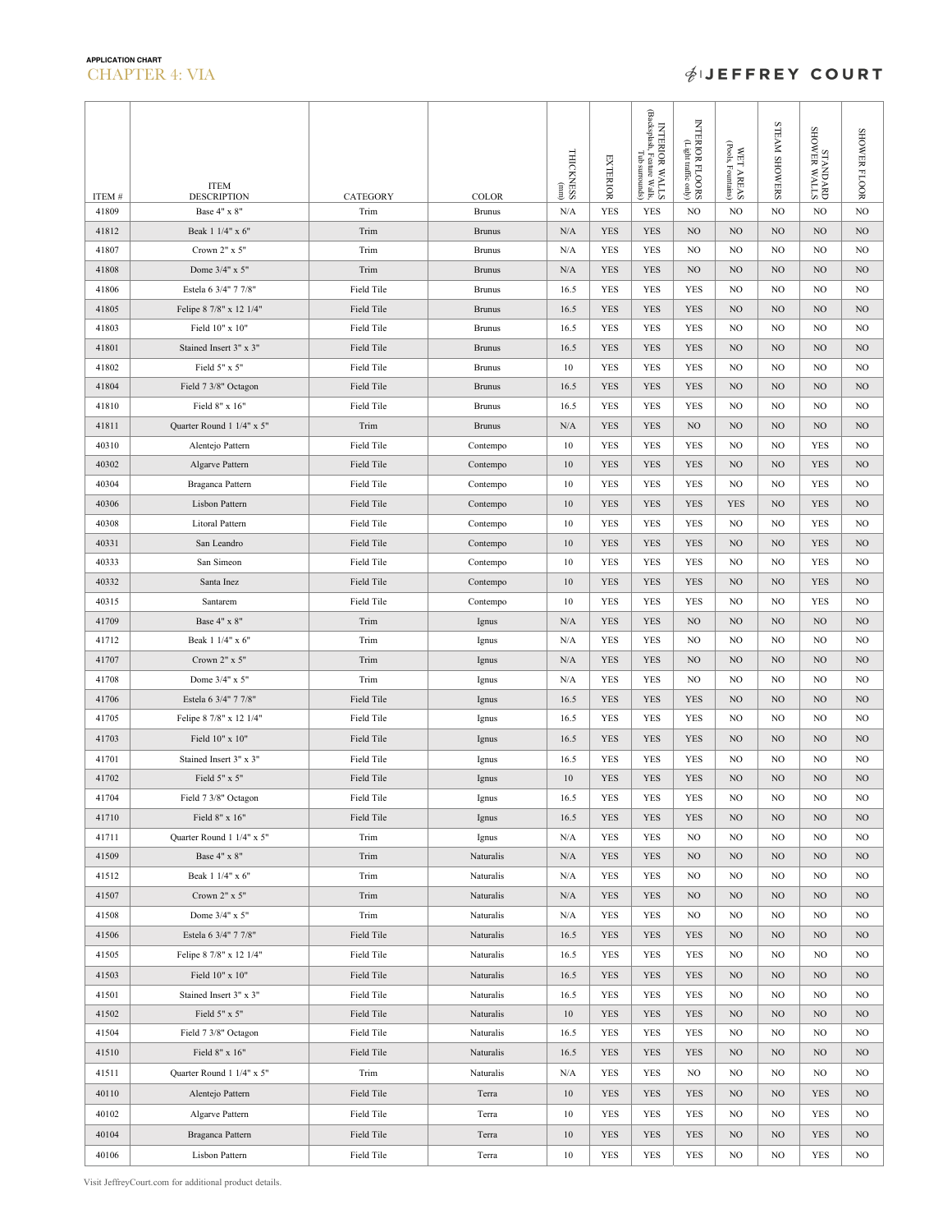## **APPLICATION CHART** CHAPTER 4: VIA

## **ØIEFFREY COURT**

|        | <b>ITEM</b>               |            |               | <b>THICKNESS</b>      | <b>EXTERIOR</b> | INTERIOR WALLS<br>(Backsplash, Feature Walls,<br>Tub surrounds) | INTERIOR FLOORS<br>Clight traffic only) | (Pools, Fountains)<br>WET AREAS | STEAM SHOWERS  | STTVM NEMOHS<br>GAVCINUMS | SHOWER FLOOR |
|--------|---------------------------|------------|---------------|-----------------------|-----------------|-----------------------------------------------------------------|-----------------------------------------|---------------------------------|----------------|---------------------------|--------------|
| ITEM # | <b>DESCRIPTION</b>        | CATEGORY   | <b>COLOR</b>  | $\left($ mm $\right)$ |                 |                                                                 |                                         |                                 |                |                           |              |
| 41809  | Base 4" x 8"              | Trim       | <b>Brunus</b> | N/A                   | <b>YES</b>      | <b>YES</b>                                                      | NO                                      | NO.                             | NO             | NO.                       | NO           |
| 41812  | Beak 1 1/4" x 6"          | Trim       | <b>Brunus</b> | N/A                   | <b>YES</b>      | <b>YES</b>                                                      | N <sub>O</sub>                          | NO.                             | NO             | NO.                       | NO           |
| 41807  | Crown 2" x 5"             | Trim       | <b>Brunus</b> | N/A                   | YES             | <b>YES</b>                                                      | N <sub>O</sub>                          | NO.                             | N <sub>O</sub> | NO.                       | NO           |
| 41808  | Dome 3/4" x 5"            | Trim       | <b>Brunus</b> | N/A                   | <b>YES</b>      | <b>YES</b>                                                      | N <sub>O</sub>                          | NO.                             | NO             | NO.                       | $_{\rm NO}$  |
| 41806  | Estela 6 3/4" 7 7/8"      | Field Tile | <b>Brunus</b> | 16.5                  | <b>YES</b>      | <b>YES</b>                                                      | <b>YES</b>                              | NO.                             | N <sub>O</sub> | NO.                       | NO.          |
| 41805  | Felipe 8 7/8" x 12 1/4"   | Field Tile | <b>Brunus</b> | 16.5                  | <b>YES</b>      | <b>YES</b>                                                      | <b>YES</b>                              | NO                              | NO             | NO                        | NO           |
| 41803  | Field 10" x 10"           | Field Tile | <b>Brunus</b> | 16.5                  | YES             | <b>YES</b>                                                      | <b>YES</b>                              | NO                              | NO             | NO                        | NO           |
| 41801  | Stained Insert 3" x 3"    | Field Tile | <b>Brunus</b> | 16.5                  | <b>YES</b>      | <b>YES</b>                                                      | <b>YES</b>                              | NO                              | NO             | NO                        | NO           |
| 41802  | Field 5" x 5"             | Field Tile | <b>Brunus</b> | 10                    | <b>YES</b>      | <b>YES</b>                                                      | <b>YES</b>                              | NO.                             | N <sub>O</sub> | NO                        | NO.          |
| 41804  | Field 7 3/8" Octagon      | Field Tile | <b>Brunus</b> | 16.5                  | <b>YES</b>      | YES                                                             | YES                                     | NO.                             | NO             | NO.                       | NO.          |
| 41810  | Field 8" x 16"            | Field Tile | <b>Brunus</b> | 16.5                  | <b>YES</b>      | <b>YES</b>                                                      | <b>YES</b>                              | NO                              | N <sub>O</sub> | NO.                       | NO           |
| 41811  | Quarter Round 1 1/4" x 5" | Trim       | <b>Brunus</b> | N/A                   | <b>YES</b>      | <b>YES</b>                                                      | N <sub>O</sub>                          | NO.                             | NO             | NO.                       | $_{\rm NO}$  |
| 40310  | Alentejo Pattern          | Field Tile | Contempo      | 10                    | <b>YES</b>      | <b>YES</b>                                                      | <b>YES</b>                              | NO                              | NO             | <b>YES</b>                | NO           |
| 40302  | Algarve Pattern           | Field Tile | Contempo      | 10                    | <b>YES</b>      | <b>YES</b>                                                      | <b>YES</b>                              | NO                              | NO             | <b>YES</b>                | $_{\rm NO}$  |
| 40304  | Braganca Pattern          | Field Tile | Contempo      | 10                    | YES             | <b>YES</b>                                                      | YES                                     | NO                              | NO             | YES                       | NO           |
| 40306  | Lisbon Pattern            | Field Tile | Contempo      | 10                    | <b>YES</b>      | <b>YES</b>                                                      | <b>YES</b>                              | <b>YES</b>                      | NO             | YES                       | NO.          |
| 40308  | Litoral Pattern           | Field Tile | Contempo      | 10                    | <b>YES</b>      | <b>YES</b>                                                      | <b>YES</b>                              | NO.                             | N <sub>O</sub> | <b>YES</b>                | NO.          |
| 40331  | San Leandro               | Field Tile | Contempo      | 10                    | <b>YES</b>      | <b>YES</b>                                                      | <b>YES</b>                              | NO.                             | NO             | <b>YES</b>                | $_{\rm NO}$  |
| 40333  | San Simeon                | Field Tile | Contempo      | 10                    | <b>YES</b>      | <b>YES</b>                                                      | <b>YES</b>                              | NO.                             | NO             | <b>YES</b>                | NO.          |
| 40332  | Santa Inez                | Field Tile | Contempo      | 10                    | <b>YES</b>      | <b>YES</b>                                                      | <b>YES</b>                              | NO                              | NO             | <b>YES</b>                | NO           |
| 40315  | Santarem                  | Field Tile | Contempo      | 10                    | YES             | YES                                                             | YES                                     | NO                              | NO             | YES                       | NO           |
| 41709  | Base 4" x 8"              | Trim       | Ignus         | N/A                   | <b>YES</b>      | <b>YES</b>                                                      | N <sub>O</sub>                          | NO                              | NO             | NO                        | NO           |
| 41712  | Beak 1 1/4" x 6"          | Trim       | Ignus         | N/A                   | <b>YES</b>      | <b>YES</b>                                                      | NO                                      | NO                              | NO             | NO                        | NO           |
| 41707  | Crown $2" \times 5"$      | Trim       | Ignus         | N/A                   | <b>YES</b>      | <b>YES</b>                                                      | N <sub>O</sub>                          | NO.                             | NO             | NO.                       | NO.          |
| 41708  | Dome 3/4" x 5"            | Trim       | Ignus         | N/A                   | <b>YES</b>      | <b>YES</b>                                                      | N <sub>O</sub>                          | NO                              | NO             | NO.                       | NO           |
| 41706  | Estela 6 3/4" 7 7/8"      | Field Tile | Ignus         | 16.5                  | <b>YES</b>      | <b>YES</b>                                                      | <b>YES</b>                              | NO.                             | N <sub>O</sub> | NO.                       | NO           |
| 41705  | Felipe 8 7/8" x 12 1/4"   | Field Tile | Ignus         | 16.5                  | YES             | YES                                                             | YES                                     | NO                              | NO             | NO                        | NO           |
| 41703  | Field 10" x 10"           | Field Tile | Ignus         | 16.5                  | <b>YES</b>      | <b>YES</b>                                                      | <b>YES</b>                              | NO.                             | NO             | NO                        | NO           |
| 41701  | Stained Insert 3" x 3"    | Field Tile | Ignus         | 16.5                  | <b>YES</b>      | <b>YES</b>                                                      | <b>YES</b>                              | NO.                             | NO             | NO                        | NO           |
| 41702  | Field 5" x 5"             | Field Tile | Ignus         | 10                    | <b>YES</b>      | <b>YES</b>                                                      | <b>YES</b>                              | NO                              | NO             | NO                        | NO           |
| 41704  | Field 7 3/8" Octagon      | Field Tile | Ignus         | 16.5                  | YES             | YES                                                             | YES                                     | NO                              | NO             | NO                        | NO           |
| 41710  | Field 8" x 16"            | Field Tile | Ignus         | 16.5                  | <b>YES</b>      | <b>YES</b>                                                      | <b>YES</b>                              | NO                              | NO             | NO                        | $_{\rm NO}$  |
| 41711  | Quarter Round 1 1/4" x 5" | Trim       | Ignus         | N/A                   | <b>YES</b>      | <b>YES</b>                                                      | N <sub>O</sub>                          | NO.                             | NO             | NO                        | NO.          |
| 41509  | Base 4" x 8"              | Trim       | Naturalis     | N/A                   | <b>YES</b>      | <b>YES</b>                                                      | N <sub>O</sub>                          | NO                              | NO             | NO                        | NO           |
| 41512  | Beak 1 1/4" x 6"          | Trim       | Naturalis     | N/A                   | YES             | YES                                                             | NO                                      | NO                              | NO             | NO                        | NO           |
| 41507  | Crown 2" x 5"             | Trim       | Naturalis     | N/A                   | <b>YES</b>      | <b>YES</b>                                                      | N <sub>O</sub>                          | NO.                             | NO             | NO                        | NO           |
| 41508  | Dome 3/4" x 5"            | Trim       | Naturalis     | N/A                   | YES             | <b>YES</b>                                                      | NO                                      | NO                              | NO             | NO                        | NO           |
| 41506  | Estela 6 3/4" 7 7/8"      | Field Tile | Naturalis     | 16.5                  | <b>YES</b>      | YES                                                             | YES                                     | N <sub>O</sub>                  | NO             | NO                        | NO           |
| 41505  | Felipe 8 7/8" x 12 1/4"   | Field Tile | Naturalis     | 16.5                  | YES             | <b>YES</b>                                                      | YES                                     | NO                              | NO             | NO                        | NO           |
| 41503  | Field 10" x 10"           | Field Tile | Naturalis     | 16.5                  | <b>YES</b>      | YES                                                             | YES                                     | NO                              | NO             | NO                        | NO.          |
| 41501  | Stained Insert 3" x 3"    | Field Tile | Naturalis     | 16.5                  | YES             | <b>YES</b>                                                      | YES                                     | NO.                             | N <sub>O</sub> | NO.                       | NO.          |
| 41502  | Field 5" x 5"             | Field Tile | Naturalis     | 10                    | <b>YES</b>      | <b>YES</b>                                                      | <b>YES</b>                              | NO                              | NO             | NO                        | $_{\rm NO}$  |
| 41504  | Field 7 3/8" Octagon      | Field Tile | Naturalis     | 16.5                  | YES             | <b>YES</b>                                                      | YES                                     | NO                              | NO             | NO                        | NO           |
| 41510  | Field 8" x 16"            | Field Tile | Naturalis     | 16.5                  | <b>YES</b>      | YES                                                             | <b>YES</b>                              | NO.                             | NO             | NO                        | NO           |
| 41511  | Quarter Round 1 1/4" x 5" | Trim       | Naturalis     | N/A                   | YES             | YES                                                             | NO                                      | NO                              | NO             | NO                        | NO           |
| 40110  | Alentejo Pattern          | Field Tile | Terra         | 10                    | <b>YES</b>      | <b>YES</b>                                                      | <b>YES</b>                              | NO.                             | NO             | <b>YES</b>                | NO           |
| 40102  | Algarve Pattern           | Field Tile | Terra         | 10                    | YES             | <b>YES</b>                                                      | YES                                     | NO                              | NO             | <b>YES</b>                | NO           |
| 40104  | Braganca Pattern          | Field Tile | Terra         | 10                    | <b>YES</b>      | <b>YES</b>                                                      | <b>YES</b>                              | NO                              | NO             | <b>YES</b>                | NO           |
| 40106  | Lisbon Pattern            | Field Tile | Terra         | 10                    | <b>YES</b>      | <b>YES</b>                                                      | YES                                     | NO                              | NO             | <b>YES</b>                | NO           |

Visit JeffreyCourt.com for additional product details.